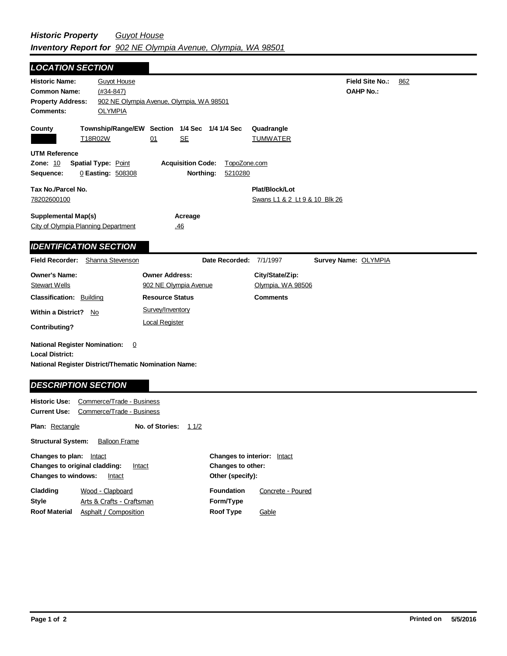| <b>LOCATION SECTION</b>                                                                                                       |                                                        |                                                                  |                         |                                                 |                                            |     |
|-------------------------------------------------------------------------------------------------------------------------------|--------------------------------------------------------|------------------------------------------------------------------|-------------------------|-------------------------------------------------|--------------------------------------------|-----|
| <b>Historic Name:</b><br><b>Common Name:</b><br><b>Property Address:</b><br><b>Comments:</b>                                  | <b>Guyot House</b><br>$(#34-847)$<br><b>OLYMPIA</b>    | 902 NE Olympia Avenue, Olympia, WA 98501                         |                         |                                                 | <b>Field Site No.:</b><br><b>OAHP No.:</b> | 862 |
| County                                                                                                                        | T18R02W                                                | Township/Range/EW Section 1/4 Sec 1/4 1/4 Sec<br><b>SE</b><br>01 |                         | Quadrangle<br><b>TUMWATER</b>                   |                                            |     |
| <b>UTM Reference</b><br><b>Zone: 10</b><br>Sequence:                                                                          | <b>Spatial Type: Point</b><br>0 Easting: 508308        | <b>Acquisition Code:</b><br>Northing:                            | TopoZone.com<br>5210280 |                                                 |                                            |     |
| Tax No./Parcel No.<br>78202600100                                                                                             |                                                        |                                                                  |                         | Plat/Block/Lot<br>Swans L1 & 2 Lt 9 & 10 Blk 26 |                                            |     |
| <b>Supplemental Map(s)</b><br>City of Olympia Planning Department                                                             |                                                        | Acreage<br>.46                                                   |                         |                                                 |                                            |     |
| <b>IDENTIFICATION SECTION</b>                                                                                                 |                                                        |                                                                  |                         |                                                 |                                            |     |
| <b>Field Recorder:</b>                                                                                                        | Shanna Stevenson                                       |                                                                  |                         | Date Recorded: 7/1/1997                         | Survey Name: OLYMPIA                       |     |
| <b>Owner's Name:</b><br><b>Stewart Wells</b>                                                                                  |                                                        | <b>Owner Address:</b><br>902 NE Olympia Avenue                   |                         | City/State/Zip:<br>Olympia, WA 98506            |                                            |     |
| <b>Classification: Building</b>                                                                                               |                                                        | <b>Resource Status</b>                                           |                         | <b>Comments</b>                                 |                                            |     |
| <b>Within a District?</b><br>No<br>Contributing?                                                                              |                                                        | Survey/Inventory<br><b>Local Register</b>                        |                         |                                                 |                                            |     |
| <b>National Register Nomination:</b><br><b>Local District:</b><br><b>National Register District/Thematic Nomination Name:</b> | $\overline{0}$                                         |                                                                  |                         |                                                 |                                            |     |
| <b>DESCRIPTION SECTION</b>                                                                                                    |                                                        |                                                                  |                         |                                                 |                                            |     |
| <b>Historic Use:</b><br>Current Use:                                                                                          | Commerce/Trade - Business<br>Commerce/Trade - Business |                                                                  |                         |                                                 |                                            |     |

| <b>Plan:</b> Rectangle                                                                                               |                                               | No. of Stories: | 11/2 |                                                                             |                   |  |  |
|----------------------------------------------------------------------------------------------------------------------|-----------------------------------------------|-----------------|------|-----------------------------------------------------------------------------|-------------------|--|--|
| <b>Structural System:</b><br><b>Balloon Frame</b>                                                                    |                                               |                 |      |                                                                             |                   |  |  |
| Changes to plan:<br>Intact<br><b>Changes to original cladding:</b><br>Intact<br><b>Changes to windows:</b><br>Intact |                                               |                 |      | <b>Changes to interior:</b><br><b>Changes to other:</b><br>Other (specify): | Intact            |  |  |
| Cladding<br>Style<br><b>Roof Material</b>                                                                            | Wood - Clapboard<br>Arts & Crafts - Craftsman |                 |      | <b>Foundation</b><br>Form/Type                                              | Concrete - Poured |  |  |
|                                                                                                                      | Asphalt / Composition                         |                 |      | <b>Roof Type</b>                                                            | Gable             |  |  |

 $\blacksquare$